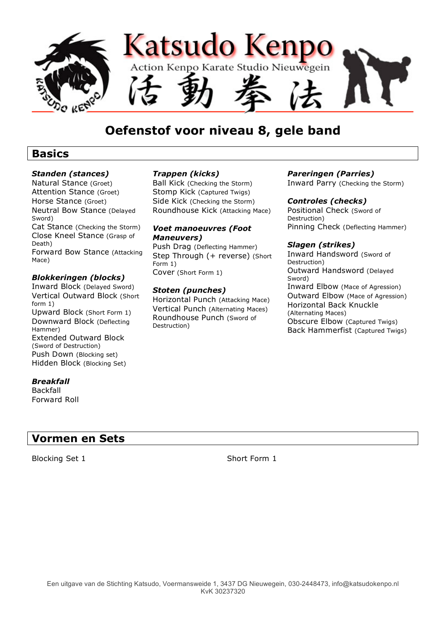

## **Oefenstof voor niveau 8, gele band**

### **Basics**

#### *Standen (stances)*

Natural Stance (Groet) Attention Stance (Groet) Horse Stance (Groet) Neutral Bow Stance (Delayed Sword) Cat Stance (Checking the Storm) Close Kneel Stance (Grasp of Death) Forward Bow Stance (Attacking Mace)

#### *Blokkeringen (blocks)*

Inward Block (Delayed Sword) Vertical Outward Block (Short form 1) Upward Block (Short Form 1) Downward Block (Deflecting Hammer) Extended Outward Block (Sword of Destruction) Push Down (Blocking set) Hidden Block (Blocking Set)

#### *Breakfall*

Backfall Forward Roll

### **Vormen en Sets**

Blocking Set 1 Short Form 1

#### *Trappen (kicks)*

Ball Kick (Checking the Storm) Stomp Kick (Captured Twigs) Side Kick (Checking the Storm) Roundhouse Kick (Attacking Mace)

#### *Voet manoeuvres (Foot Maneuvers)*

Push Drag (Deflecting Hammer) Step Through (+ reverse) (Short Form 1) Cover (Short Form 1)

#### *Stoten (punches)*

Horizontal Punch (Attacking Mace) Vertical Punch (Alternating Maces) Roundhouse Punch (Sword of Destruction)

#### *Pareringen (Parries)*

Inward Parry (Checking the Storm)

#### *Controles (checks)*

Positional Check (Sword of Destruction) Pinning Check (Deflecting Hammer)

#### *Slagen (strikes)*

Inward Handsword (Sword of Destruction) Outward Handsword (Delayed Sword) Inward Elbow (Mace of Agression) Outward Elbow (Mace of Agression) Horizontal Back Knuckle (Alternating Maces) Obscure Elbow (Captured Twigs) Back Hammerfist (Captured Twigs)